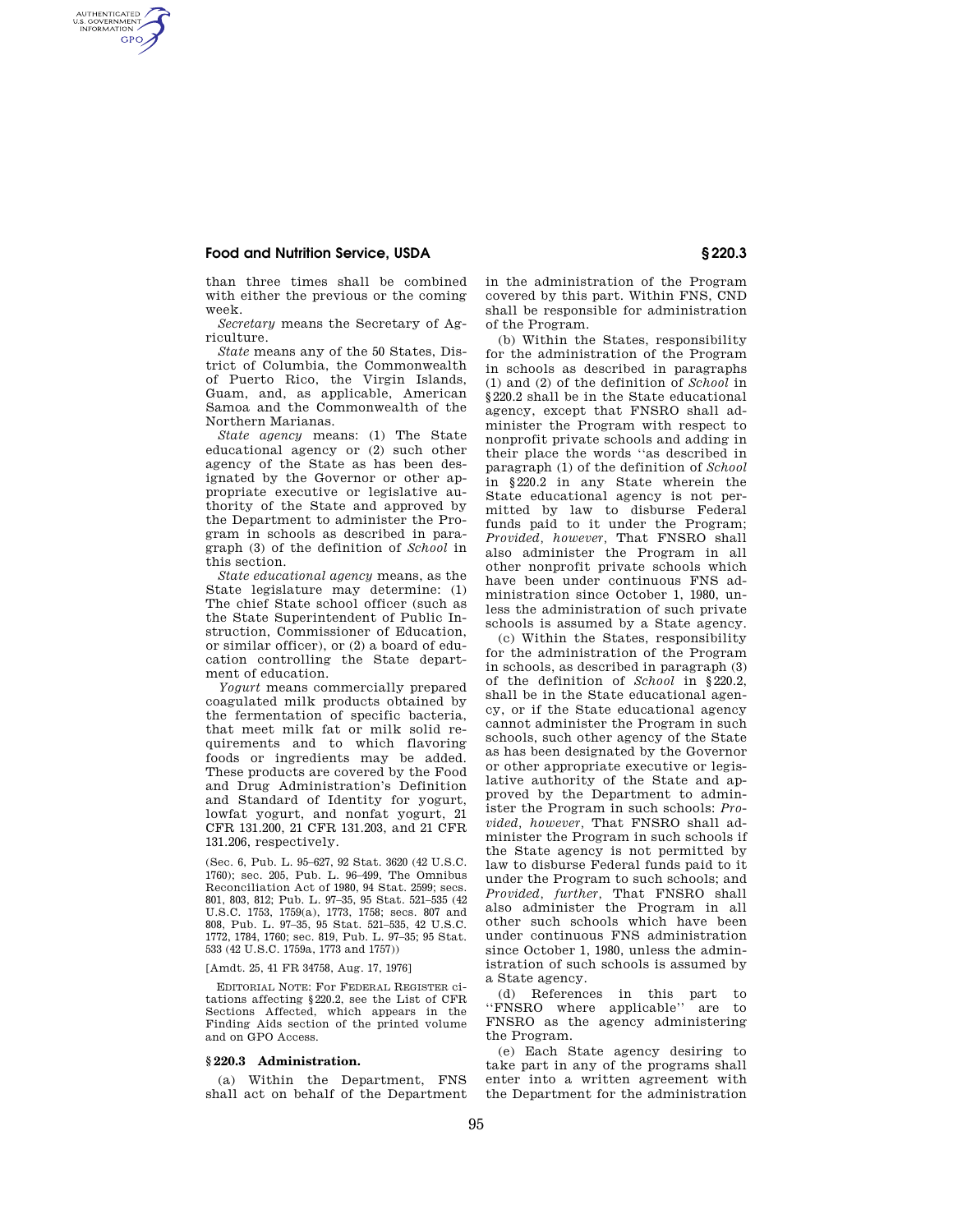# **Food and Nutrition Service, USDA § 220.3**

AUTHENTICATED<br>U.S. GOVERNMENT<br>INFORMATION **GPO** 

> than three times shall be combined with either the previous or the coming week.

> *Secretary* means the Secretary of Agriculture.

> *State* means any of the 50 States, District of Columbia, the Commonwealth of Puerto Rico, the Virgin Islands, Guam, and, as applicable, American Samoa and the Commonwealth of the Northern Marianas.

> *State agency* means: (1) The State educational agency or (2) such other agency of the State as has been designated by the Governor or other appropriate executive or legislative authority of the State and approved by the Department to administer the Program in schools as described in paragraph (3) of the definition of *School* in this section.

> *State educational agency* means, as the State legislature may determine: (1) The chief State school officer (such as the State Superintendent of Public Instruction, Commissioner of Education, or similar officer), or (2) a board of education controlling the State department of education.

> *Yogurt* means commercially prepared coagulated milk products obtained by the fermentation of specific bacteria, that meet milk fat or milk solid requirements and to which flavoring foods or ingredients may be added. These products are covered by the Food and Drug Administration's Definition and Standard of Identity for yogurt, lowfat yogurt, and nonfat yogurt, 21 CFR 131.200, 21 CFR 131.203, and 21 CFR 131.206, respectively.

> (Sec. 6, Pub. L. 95–627, 92 Stat. 3620 (42 U.S.C. 1760); sec. 205, Pub. L. 96–499, The Omnibus Reconciliation Act of 1980, 94 Stat. 2599; secs. 801, 803, 812; Pub. L. 97–35, 95 Stat. 521–535 (42 U.S.C. 1753, 1759(a), 1773, 1758; secs. 807 and 808, Pub. L. 97–35, 95 Stat. 521–535, 42 U.S.C. 1772, 1784, 1760; sec. 819, Pub. L. 97–35; 95 Stat. 533 (42 U.S.C. 1759a, 1773 and 1757))

#### [Amdt. 25, 41 FR 34758, Aug. 17, 1976]

EDITORIAL NOTE: For FEDERAL REGISTER citations affecting §220.2, see the List of CFR Sections Affected, which appears in the Finding Aids section of the printed volume and on GPO Access.

## **§ 220.3 Administration.**

(a) Within the Department, FNS shall act on behalf of the Department in the administration of the Program covered by this part. Within FNS, CND shall be responsible for administration of the Program.

(b) Within the States, responsibility for the administration of the Program in schools as described in paragraphs (1) and (2) of the definition of *School* in §220.2 shall be in the State educational agency, except that FNSRO shall administer the Program with respect to nonprofit private schools and adding in their place the words ''as described in paragraph (1) of the definition of *School*  in §220.2 in any State wherein the State educational agency is not permitted by law to disburse Federal funds paid to it under the Program; *Provided, however,* That FNSRO shall also administer the Program in all other nonprofit private schools which have been under continuous FNS administration since October 1, 1980, unless the administration of such private schools is assumed by a State agency.

(c) Within the States, responsibility for the administration of the Program in schools, as described in paragraph (3) of the definition of *School* in §220.2, shall be in the State educational agency, or if the State educational agency cannot administer the Program in such schools, such other agency of the State as has been designated by the Governor or other appropriate executive or legislative authority of the State and approved by the Department to administer the Program in such schools: *Provided, however,* That FNSRO shall administer the Program in such schools if the State agency is not permitted by law to disburse Federal funds paid to it under the Program to such schools; and *Provided, further,* That FNSRO shall also administer the Program in all other such schools which have been under continuous FNS administration since October 1, 1980, unless the administration of such schools is assumed by a State agency.

(d) References in this part to ''FNSRO where applicable'' are to FNSRO as the agency administering the Program.

(e) Each State agency desiring to take part in any of the programs shall enter into a written agreement with the Department for the administration